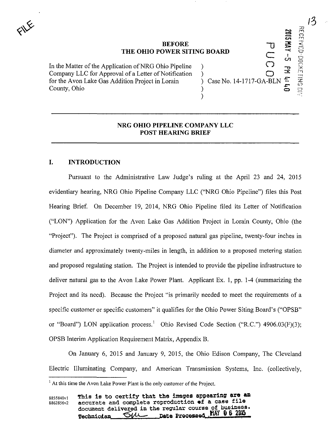## BEFORE THE OHIO POWER SITING BOARD

~D

 $\Xi$ 

 $\Xi$ 

 $13$ 

 $\frac{1}{2}$ 

o

r^  $\Xi$ LJ

s n n i

.<br>ת  $\overline{r}$ <u>3 : </u>

 $\epsilon$ 

 $\overline{O}$  $\overrightarrow{O}$ ) Case No. 14-1717-GA-BLN

In the Matter of the Application of NRG Ohio Pipeline Company LLC for Approval of a Letter of Notification for the Avon Lake Gas Addition Project in Lorain County, Ohio

## NRG OHIO PIPELINE COMPANY LLC POST HEARING BRIEF

)

#### I. INTRODUCTION

Pursuant to the Administrative Law Judge's ruling at the April 23 and 24, 2015 evidentiary hearing, NRG Ohio Pipeline Company LLC ("NRG Ohio Pipeline") files this Post Hearing Brief. On December 19, 2014, NRG Ohio Pipeline filed its Letter of Notification ("LON") Application for the Avon Lake Gas Addition Project in Lorain County, Ohio (the "Project"). The Project is comprised of a proposed natural gas pipeline, twenty-four inches in diameter and approximately twenty-miles in length, in addition to a proposed metering station and proposed regulating station. The Project is intended to provide the pipeline infrastructure to deliver natural gas to the Avon Lake Power Plant. Applicant Ex. 1, pp. 1-4 (summarizing the Project and its need). Because the Project "is primarily needed to meet the requirements of a specific customer or specific customers" it qualifies for the Ohio Power Siting Board's ("OPSB" or "Board") LON application process.<sup>1</sup> Ohio Revised Code Section ("R.C.") 4906.03(F)(3); OPSB Interim Application Requirement Matrix, Appendix B.

On January 6, 2015 and January 9, 2015, the Ohio Edison Company, The Cleveland Electric Illuminating Company, and American Transmission Systems, Inc. (collectively.

 $<sup>1</sup>$  At this time the Avon Lake Power Plant is the only customer of the Project.</sup>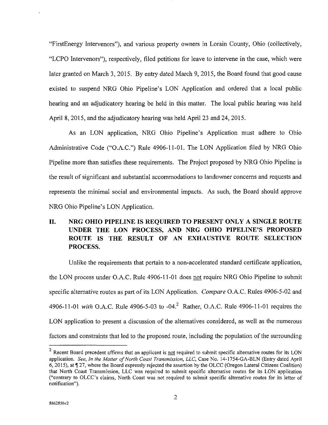"FirstEnergy Intervenors"), and various property owners in Lorain County, Ohio (collectively, "LCPO Intervenors"), respectively, filed petitions for leave to intervene in the case, which were later granted on March 3, 2015. By entry dated March 9, 2015, the Board found that good cause existed to suspend NRG Ohio Pipeline's LON Application and ordered that a local public hearing and an adjudicatory hearing be held in this matter. The local public hearing was held April 8, 2015, and the adjudicatory hearing was held April 23 and 24, 2015.

As an LON application, NRG Ohio Pipeline's Application must adhere to Ohio Administrative Code ("O.A.C.") Rule 4906-11-01. The LON Application filed by NRG Ohio Pipeline more than satisfies these requirements. The Project proposed by NRG Ohio Pipeline is the result of significant and substantial accommodations to landowner concerns and requests and represents the minimal social and environmental impacts. As such, the Board should approve NRG Ohio Pipeline's LON Application.

# II. NRG OHIO PIPELINE IS REQUIRED TO PRESENT ONLY A SINGLE ROUTE UNDER THE LON PROCESS, AND NRG OHIO PIPELINE'S PROPOSED ROUTE IS THE RESULT OF AN EXHAUSTIVE ROUTE SELECTION PROCESS.

Unlike the requirements that pertain to a non-accelerated standard certificate application, the LON process under O.A.C. Rule 4906-11-01 does not require NRG Ohio Pipeline to submit specific alternative routes as part of its LON Application. Compare O.A.C. Rules 4906-5-02 and 4906-11-01 with O.A.C. Rule 4906-5-03 to -04.<sup>2</sup> Rather, O.A.C. Rule 4906-11-01 requires the LON application to present a discussion of the alternatives considered, as well as the numerous factors and constraints that led to the proposed route, including the population of the surrounding

 $2$  Recent Board precedent affirms that an applicant is not required to submit specific alternative routes for its LON application. See, In the Matter of North Coast Transmission, LLC, Case No. 14-1754-GA-BLN (Entry dated April 6, 2015), at  $\S$  27, where the Board expressly rejected the assertion by the OLCC (Oregon Lateral Citizens Coalition) that North Coast Transmission, LLC was required to submit specific alternative routes for its LON application that North Coast Transmission, LLC was required to submit specific alternative routes for its LON application ("contrary to OLCC's claims. North Coast was not required to submit specific alternative routes for its letter of notification").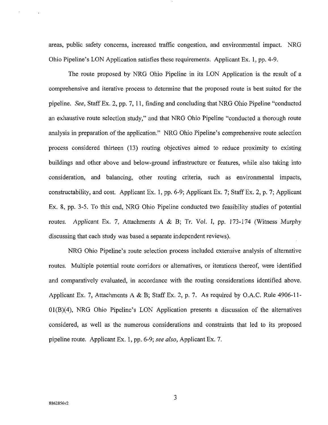areas, public safety concerns, increased traffic congestion, and environmental impact. NRG Ohio Pipeline's LON Application satisfies these requirements. Applicant Ex. 1, pp. 4-9.

The route proposed by NRG Ohio Pipeline in its LON Application is the result of a comprehensive and iterative process to determine that the proposed route is best suited for the pipeline. See, Staff Ex. 2, pp. 7, 11, finding and concluding that NRG Ohio Pipeline "conducted an exhaustive route selection study," and that NRG Ohio Pipeline "conducted a thorough route analysis in preparation of the application." NRG Ohio Pipeline's comprehensive route selection process considered thirteen (13) routing objectives aimed to reduce proximity to existing buildings and other above and below-ground infrastructure or features, while also taking into consideration, and balancing, other routing criteria, such as environmental impacts, constructability, and cost. Applicant Ex. 1, pp. 6-9; Applicant Ex. 7; Staff Ex. 2, p. 7; Applicant Ex. 8, pp. 3-5. To this end, NRG Ohio Pipeline conducted two feasibility studies of potential routes. Applicant Ex. 7, Attachments A & B; Tr. Vol. I, pp. 173-174 (Witness Murphy discussing that each study was based a separate independent reviews).

NRG Ohio Pipeline's route selection process included extensive analysis of alternative routes. Multiple potential route corridors or alternatives, or iterations thereof, were identified and comparatively evaluated, in accordance with the routing considerations identified above. Applicant Ex. 7, Attachments A & B; Staff Ex. 2, p. 7. As required by O.A.C. Rule 4906-11- 01(B)(4), NRG Ohio Pipeline's LON Application presents a discussion of the alternatives considered, as well as the numerous considerations and constraints that led to its proposed pipeline route. Applicant Ex. 1, pp. 6-9; see also. Applicant Ex. 7.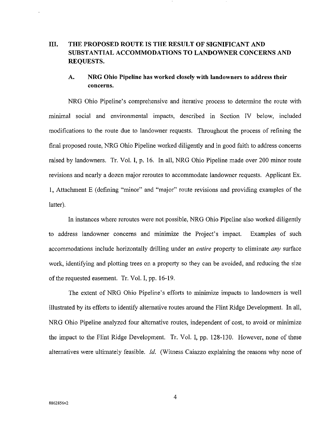# III. THE PROPOSED ROUTE IS THE RESULT OF SIGNIFICANT AND SUBSTANTIAL ACCOMMODATIONS TO LANDOWNER CONCERNS AND REQUESTS.

## A. NRG Ohio Pipeline has worked closely with landowners to address their concerns.

NRG Ohio Pipeline's comprehensive and iterative process to determine the route with minimal social and environmental impacts, described in Section IV below, included modifications to the route due to landowner requests. Throughout the process of refining the final proposed route, NRG Ohio Pipeline worked diligentiy and in good faith to address concerns raised by landowners. Tr. Vol. I, p. 16. In all, NRG Ohio Pipeline made over 200 minor route revisions and nearly a dozen major reroutes to accommodate landowner requests. Applicant Ex. 1, Attachment E (defining "minor" and "major" route revisions and providing examples of the latter).

In instances where reroutes were not possible, NRG Ohio Pipeline also worked diligently to address landowner concerns and minimize the Project's impact. Examples of such accommodations include horizontally drilling under an entire property to eliminate any surface work, identifying and plotting trees on a property so they can be avoided, and reducing the size of the requested easement. Tr. Vol. I, pp. 16-19.

The extent of NRG Ohio Pipeline's efforts to minimize impacts to landowners is well illustrated by its efforts to identify alternative routes around the Flint Ridge Development. In all, NRG Ohio Pipeline analyzed four alternative routes, independent of cost, to avoid or minimize the impact to the Flint Ridge Development. Tr. Vol. I, pp. 128-130. However, none of these alternatives were ultimately feasible. Id. (Witness Caiazzo explaining the reasons why none of

 $\overline{4}$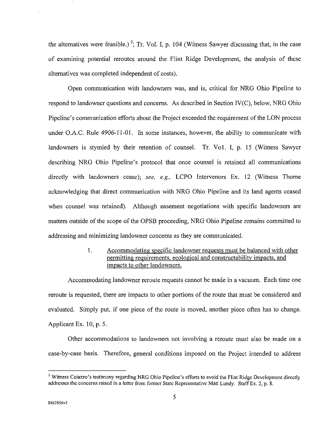the alternatives were feasible.)<sup>3</sup>; Tr. Vol. I, p. 104 (Witness Sawyer discussing that, in the case of examining potential reroutes around the Flint Ridge Development, the analysis of these alternatives was completed independent of costs).

Open communication with landowners was, and is, critical for NRG Ohio Pipeline to respond to landowner questions and concerns. As described in Section IV(C), below, NRG Ohio Pipeline's communication efforts about the Project exceeded the requirement of the LON process under O.A.C. Rule 4906-11-01. In some instances, however, the ability to communicate with landowners is stymied by their retention of counsel. Tr. Vol. I, p. 15 (Witness Sawyer describing NRG Ohio Pipeline's protocol that once counsel is retained all communications directly with landowners cease); see, e.g., LCPO Intervenors Ex. 12 (Witness Thorne acknowledging that direct communication with NRG Ohio Pipeline and its land agents ceased when counsel was retained). Although easement negotiations with specific landowners are matters outside of the scope of the OPSB proceeding, NRG Ohio Pipeline remains committed to addressing and minimizing landowner concerns as they are communicated.

## 1. Accommodating specific landowner requests must be balanced with other permitting requirements, ecological and constructabilitv impacts, and impacts to other landowners.

Accommodating landowner reroute requests cannot be made in a vacuum. Each time one reroute is requested, there are impacts to other portions of the route that must be considered and evaluated. Simply put, if one piece of the route is moved, another piece often has to change. Applicant Ex. 10, p. 5.

Other accommodations to landowners not involving a reroute must also be made on a case-by-case basis. Therefore, general conditions imposed on the Project intended to address

<sup>&</sup>lt;sup>3</sup> Witness Caiazzo's testimony regarding NRG Ohio Pipeline's efforts to avoid the Flint Ridge Development directly addresses the concerns raised in a letter trom former State Representative Matt Lundy. Staff Ex. 2, p. 8.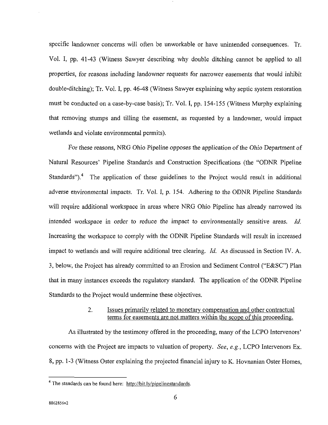specific landowner concerns will often be unworkable or have unintended consequences. Tr. Vol. I, pp. 41-43 (Witness Sawyer describing why double ditching cannot be applied to all properties, for reasons including landowner requests for narrower easements that would inhibit double-ditching); Tr. Vol. I, pp. 46-48 (Witness Sawyer explaining why septic system restoration must be conducted on a case-by-case basis); Tr. Vol. I, pp. 154-155 (Witness Murphy explaining that removing stumps and tilling the easement, as requested by a landowner, would impact wetlands and violate environmental permits).

For these reasons, NRG Ohio Pipeline opposes the application of the Ohio Department of Natural Resources' Pipeline Standards and Construction Specifications (the "ODNR Pipeline Standards").<sup>4</sup> The application of these guidelines to the Project would result in additional adverse environmental impacts. Tr. Vol. I, p. 154. Adhering to the ODNR Pipeline Standards will require additional workspace in areas where NRG Ohio Pipeline has already narrowed its intended workspace in order to reduce the impact to environmentally sensitive areas. Id. Increasing the workspace to comply with the ODNR Pipeline Standards will result in increased impact to wetiands and will require additional tree clearing. Id. As discussed in Section IV. A. 3, below, the Project has already committed to an Erosion and Sediment Control ("E&SC") Plan that in many instances exceeds the regulatory standard. The application of the ODNR Pipeline Standards to the Project would undermine these objectives.

## 2. Issues primarilv related to monetarv compensation and other contractual terms for easements are not matters within the scope of this proceeding.

As illustrated by the testimony offered in the proceeding, many of the LCPO Interveners' concerns with the Project are impacts to valuation of property. See, e.g., LCPO Intervenors Ex. 8, pp. 1-3 (Witness Oster explaining the projected financial injury to K. Hovnanian Oster Homes,

<sup>&</sup>lt;sup>4</sup> The standards can be found here: [http://bit.ly/pipelinestandards.](http://bit.ly/pipelinestandards)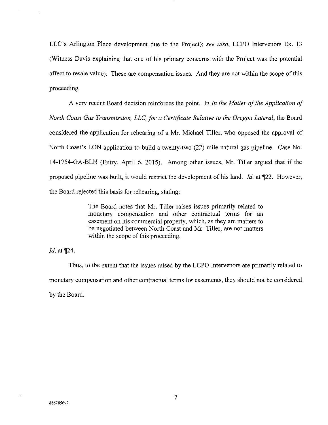LLC's Arlington Place development due to the Project); see also, LCPO Intervenors Ex. 13 (Witness Davis explaining that one of his primary concerns with the Project was the potential affect to resale value). These are compensation issues. And they are not within the scope of this proceeding.

A very recent Board decision reinforces the point. In In the Matter of the Application of North Coast Gas Transmission, LLC, for a Certificate Relative to the Oregon Lateral, the Board considered the application for rehearing of a Mr. Michael Tiller, who opposed the approval of North Coast's LON application to build a twenty-two (22) mile natural gas pipeline. Case No. 14-1754-GA-BLN (Entry, April 6, 2015). Among other issues, Mr. Tiller argued that if the proposed pipeline was built, it would restrict the development of his land. *Id.* at  $\mathbb{Z}2$ . However, the Board rejected this basis for rehearing, stating:

> The Board notes that Mr. Tiller raises issues primarily related to monetary compensation and other contractual terms for an easement on his commercial property, which, as they are matters to be negotiated between North Coast and Mr. Tiller, are not matters within the scope of this proceeding.

Id. at  $\P$ 24.

Thus, to the extent that the issues raised by the LCPO Intervenors are primarily related to monetary compensation and other contractual terms for easements, they should not be considered by the Board.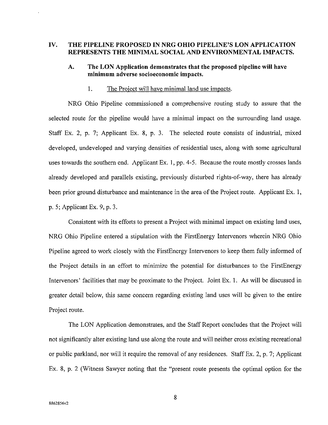## IV. THE PIPELINE PROPOSED IN NRG OHIO PIPELINE'S LON APPLICATION REPRESENTS THE MINIMAL SOCIAL AND ENVIRONMENTAL IMPACTS.

### A. The LON Application demonstrates that the proposed pipeline will have minimum adverse socioeconomic impacts.

#### 1. The Project will have minimal land use impacts.

NRG Ohio Pipeline commissioned a comprehensive routing study to assure that the selected route for the pipeline would have a minimal impact on the surrounding land usage. Staff Ex. 2, p. 7; Applicant Ex. 8, p. 3. The selected route consists of industrial, mixed developed, undeveloped and varying densities of residential uses, along with some agricultural uses towards the southern end. Applicant Ex. 1, pp. 4-5. Because the route mostiy crosses lands already developed and parallels existing, previously disturbed rights-of-way, there has already been prior ground disturbance and maintenance in the area of the Project route. Applicant Ex. 1, p. 5; Applicant Ex. 9, p. 3.

Consistent with its efforts to present a Project with minimal impact on existing land uses, NRG Ohio Pipeline entered a stipulation with the FirstEnergy Intervenors wherein NRG Ohio Pipeline agreed to work closely with the FirstEnergy Intervenors to keep them fully informed of the Project details in an effort to minimize the potential for disturbances to the FirstEnergy Intervenors' facilities that may be proximate to the Project. Joint Ex. 1. As will be discussed in greater detail below, this same concern regarding existing land uses will be given to the entire Project route.

The LON Application demonstrates, and the Staff Report concludes that the Project will not significantly alter existing land use along the route and will neither cross existing recreational or public parkland, nor will it require the removal of any residences. Staff Ex. 2, p. 7; Applicant Ex. 8, p. 2 (Witness Sawyer noting that the "present route presents the optimal option for the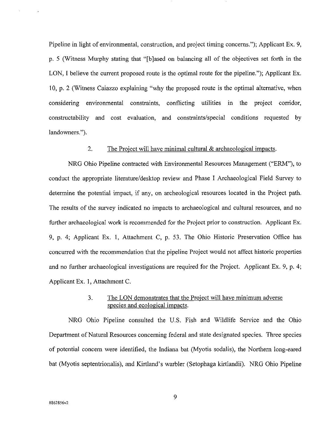Pipeline in light of environmental, construction, and project timing concerns."); Applicant Ex. 9, p. 5 (Witness Murphy stating that "[b]ased on balancing all of the objectives set forth in the LON, I believe the current proposed route is the optimal route for the pipeline."); Applicant Ex. 10, p. 2 (Witness Caiazzo explaining "why the proposed route is the optimal alternative, when considering environmental constraints, conflicting utilities in the project corridor, constructability and cost evaluation, and constraints/special conditions requested by landowners.").

## 2. The Project will have minimal cultural  $\&$  archaeological impacts.

NRG Ohio Pipeline contracted with Environmental Resources Management ("ERM"), to conduct the appropriate literature/desktop review and Phase I Archaeological Field Survey to determine the potential impact, if any, on archeological resources located in the Project path. The results of the survey indicated no impacts to archaeological and cultural resources, and no further archaeological work is recommended for the Project prior to construction. Applicant Ex. 9, p. 4; Applicant Ex. 1, Attachment C, p. 53. The Ohio Historic Preservation Office has concurred with the recommendation that the pipeline Project would not affect historic properties and no further archaeological investigations are required for the Project. Applicant Ex. 9, p. 4; Applicant Ex. 1, Attachment C.

## 3. The LON demonstrates that the Project will have minimum adverse species and ecological impacts.

NRG Ohio Pipeline consulted the U.S. Fish and Wildlife Service and the Ohio Department of Natural Resources concerning federal and state designated species. Three species of potential concern were identified, the Indiana bat (Myotis sodalis), the Northern long-eared bat (Myotis septentrionalis), and Kirtland's warbler (Setophaga kirtlandii). NRG Ohio Pipeline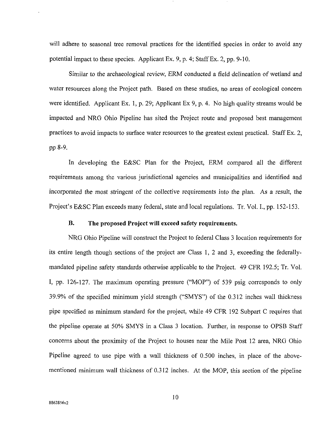will adhere to seasonal tree removal practices for the identified species in order to avoid any potential impact to these species. Applicant Ex. 9, p. 4; Staff Ex. 2, pp. 9-10.

Similar to the archaeological review, ERM conducted a field delineation of wetiand and water resources along the Project path. Based on these studies, no areas of ecological concern were identified. Applicant Ex. 1, p. 29; Applicant Ex 9, p. 4. No high quality streams would be impacted and NRG Ohio Pipeline has sited the Project route and proposed best management practices to avoid impacts to surface water resources to the greatest extent practical. Staff Ex. 2, pp 8-9.

In developing the E&SC Plan for the Project, ERM compared all the different requirements among the various jurisdictional agencies and municipalities and identified and incorporated the most stringent of the collective requirements into the plan. As a result, the Project's E&SC Plan exceeds many federal, state and local regulations. Tr. Vol. I., pp. 152-153.

### B. The proposed Project will exceed safety requirements.

NRG Ohio Pipeline will construct the Project to federal Class 3 location requirements for its entire length though sections of the project are Class 1, 2 and 3, exceeding the federallymandated pipeline safety standards otherwise applicable to the Project. 49 CFR 192.5; Tr. Vol. I, pp. 126-127. The maximum operating pressure ("MOP") of 539 psig corresponds to only 39.9% of the specified minimum yield strength ("SMYS") of the 0.312 inches wall thickness pipe specified as minimum standard for the project, while 49 CFR 192 Subpart C requires that the pipeline operate at 50% SMYS in a Class 3 location. Further, in response to OPSB Staff concerns about the proximity of the Project to houses near the Mile Post 12 area, NRG Ohio Pipeline agreed to use pipe with a wall thickness of 0.500 inches, in place of the abovementioned minimum wall thickness of 0.312 inches. At the MOP, this section of the pipeline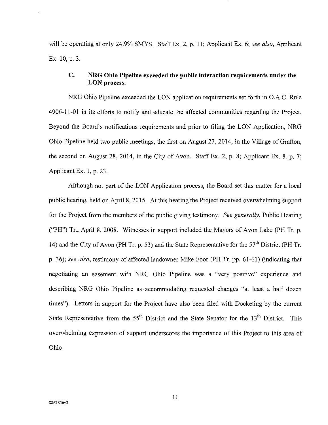will be operating at only 24.9% SMYS. Staff Ex. 2, p. 11; Applicant Ex. 6; see also, Applicant Ex. 10, p. 3.

## C. NRG Ohio Pipeline exceeded the public interaction requirements under the LON process.

NRG Ohio Pipeline exceeded the LON application requirements set forth in O.A.C. Rule 4906-11-01 in its efforts to notify and educate the affected communities regarding the Project. Beyond the Board's notifications requirements and prior to filing the LON Application, NRG Ohio Pipeline held two public meetings, the first on August 27, 2014, in the Village of Grafton, the second on August 28, 2014, in the City of Avon. Staff Ex. 2, p. 8; Applicant Ex. 8, p. 7; Applicant Ex. 1, p. 23.

Although not part of the LON Application process, the Board set this matter for a local public hearing, held on April 8, 2015. At this hearing the Project received overwhelming support for the Project from the members of the public giving testimony. See generally, Public Hearing ("PH") Tr., April 8, 2008. Witnesses in support included the Mayors of Avon Lake (PH Tr. p. 14) and the City of Avon (PH Tr. p. 53) and the State Representative for the 57<sup>th</sup> District (PH Tr. p. 36); see also, testimony of affected landowner Mike Foor (PH Tr. pp. 61-61) (indicating that negotiating an easement with NRG Ohio Pipeline was a "very positive" experience and describing NRG Ohio Pipeline as accommodating requested changes "at least a half dozen times"). Letters in support for the Project have also been filed with Docketing by the current State Representative from the  $55<sup>th</sup>$  District and the State Senator for the 13<sup>th</sup> District. This overwhelming expression of support underscores the importance of this Project to this area of Ohio.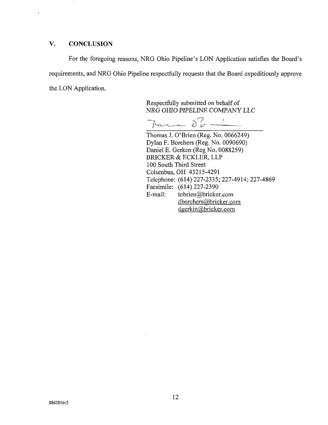### V. CONCLUSION

For the foregoing reasons, NRG Ohio Pipeline's LON Application satisfies the Board's requirements, and NRG Ohio Pipeline respectfully requests that the Board expeditiously approve the LON Application.

> Respectfully submitted on behalf of NRG OHIO PIPELINE COMPANY LLC

 $M = 22 - 1$ 

Thomas J. O'Brien (Reg. No. 0066249) Dylan F. Borchers (Reg. No. 0090690) Daniel E. Gerken (Reg No. 0088259) BRICKER & ECKLER, LLP 100 South Third Street Columbus, OH 43215-4291 Telephone: (614) 227-2335; 227-4914; 227-4869 Facsimile: (614) 227-2390 E-mail: [tobrien@bricker.com](mailto:tobrien@bricker.com) dborchers@bricker.com [dgerkin@bricker.com](mailto:dgerkin@bricker.com)